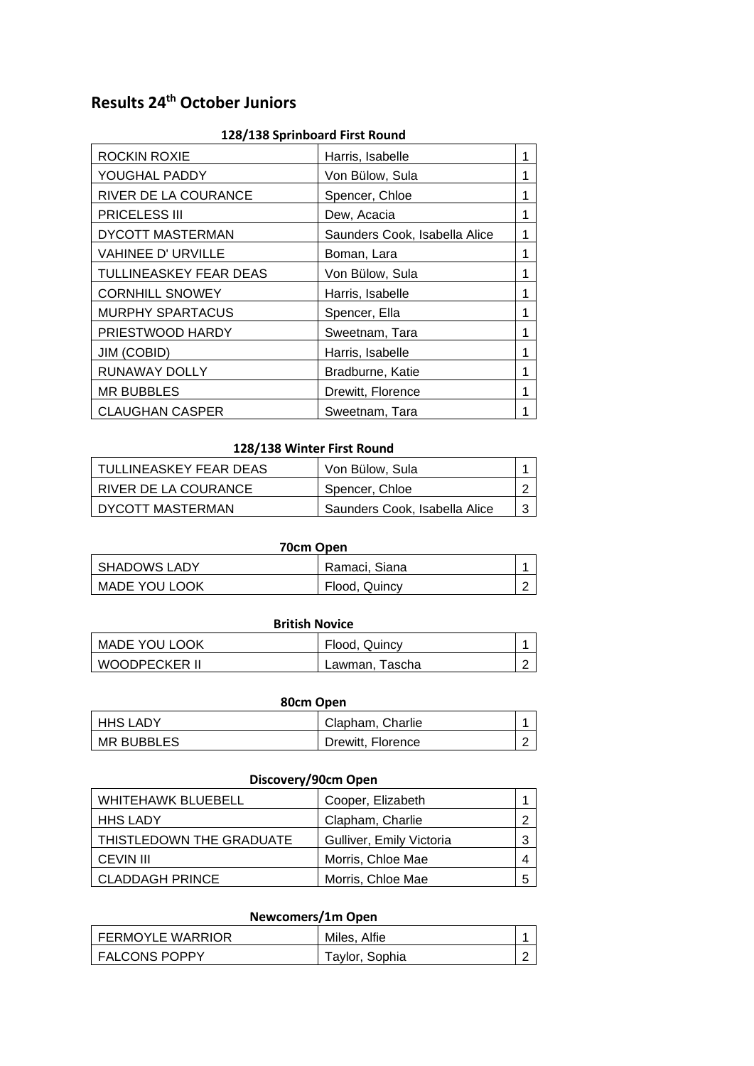# **Results 24th October Juniors**

| 128/138 Sprinboard First Round |                               |   |
|--------------------------------|-------------------------------|---|
| <b>ROCKIN ROXIE</b>            | Harris, Isabelle              | 1 |
| YOUGHAL PADDY                  | Von Bülow, Sula               | 1 |
| RIVER DE LA COURANCE           | Spencer, Chloe                | 1 |
| <b>PRICELESS III</b>           | Dew, Acacia                   | 1 |
| <b>DYCOTT MASTERMAN</b>        | Saunders Cook, Isabella Alice | 1 |
| <b>VAHINEE D' URVILLE</b>      | Boman, Lara                   | 1 |
| TULLINEASKEY FEAR DEAS         | Von Bülow, Sula               | 1 |
| <b>CORNHILL SNOWEY</b>         | Harris, Isabelle              | 1 |
| <b>MURPHY SPARTACUS</b>        | Spencer, Ella                 | 1 |
| PRIESTWOOD HARDY               | Sweetnam, Tara                | 1 |
| JIM (COBID)                    | Harris, Isabelle              | 1 |
| RUNAWAY DOLLY                  | Bradburne, Katie              | 1 |
| <b>MR BUBBLES</b>              | Drewitt, Florence             | 1 |
| <b>CLAUGHAN CASPER</b>         | Sweetnam, Tara                | 1 |

## **128/138 Sprinboard First Round**

#### **128/138 Winter First Round**

| I TULLINEASKEY FEAR DEAS | Von Bülow, Sula               |            |
|--------------------------|-------------------------------|------------|
| I RIVER DE LA COURANCE   | Spencer, Chloe                | $\sqrt{2}$ |
| I DYCOTT MASTERMAN       | Saunders Cook, Isabella Alice | -3         |

| 70cm Open     |               |        |
|---------------|---------------|--------|
| SHADOWS LADY  | Ramaci, Siana |        |
| MADE YOU LOOK | Flood, Quincy | $\sim$ |

## **British Novice**

| <b>MADE YOU LOOK</b> | Flood, Quincy  |  |
|----------------------|----------------|--|
| WOODPECKER II        | Lawman, Tascha |  |

| 80cm Open  |                   |            |
|------------|-------------------|------------|
| HHS LADY   | Clapham, Charlie  |            |
| MR BUBBLES | Drewitt, Florence | $\sqrt{2}$ |

## **Discovery/90cm Open**

| <b>WHITEHAWK BLUEBELL</b> | Cooper, Elizabeth        |  |
|---------------------------|--------------------------|--|
| <b>HHS LADY</b>           | Clapham, Charlie         |  |
| THISTLEDOWN THE GRADUATE  | Gulliver, Emily Victoria |  |
| <b>CEVIN III</b>          | Morris, Chloe Mae        |  |
| <b>CLADDAGH PRINCE</b>    | Morris, Chloe Mae        |  |

## **Newcomers/1m Open**

| l FERMOYLE WARRIOR | Miles, Alfie   |  |
|--------------------|----------------|--|
| I FALCONS POPPY    | Taylor, Sophia |  |